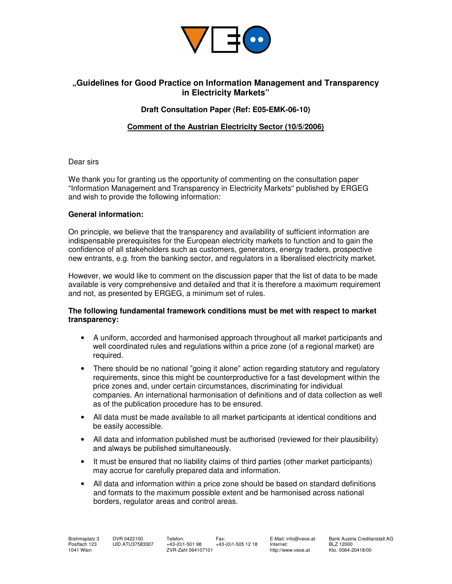

# **"Guidelines for Good Practice on Information Management and Transparency in Electricity Markets"**

## **Draft Consultation Paper (Ref: E05-EMK-06-10)**

## **Comment of the Austrian Electricity Sector (10/5/2006)**

#### Dear sirs

We thank you for granting us the opportunity of commenting on the consultation paper "Information Management and Transparency in Electricity Markets" published by ERGEG and wish to provide the following information:

#### **General information:**

On principle, we believe that the transparency and availability of sufficient information are indispensable prerequisites for the European electricity markets to function and to gain the confidence of all stakeholders such as customers, generators, energy traders, prospective new entrants, e.g. from the banking sector, and regulators in a liberalised electricity market.

However, we would like to comment on the discussion paper that the list of data to be made available is very comprehensive and detailed and that it is therefore a maximum requirement and not, as presented by ERGEG, a minimum set of rules.

### **The following fundamental framework conditions must be met with respect to market transparency:**

- A uniform, accorded and harmonised approach throughout all market participants and well coordinated rules and regulations within a price zone (of a regional market) are required.
- There should be no national "going it alone" action regarding statutory and regulatory requirements, since this might be counterproductive for a fast development within the price zones and, under certain circumstances, discriminating for individual companies. An international harmonisation of definitions and of data collection as well as of the publication procedure has to be ensured.
- All data must be made available to all market participants at identical conditions and be easily accessible.
- All data and information published must be authorised (reviewed for their plausibility) and always be published simultaneously.
- It must be ensured that no liability claims of third parties (other market participants) may accrue for carefully prepared data and information.
- All data and information within a price zone should be based on standard definitions and formats to the maximum possible extent and be harmonised across national borders, regulator areas and control areas.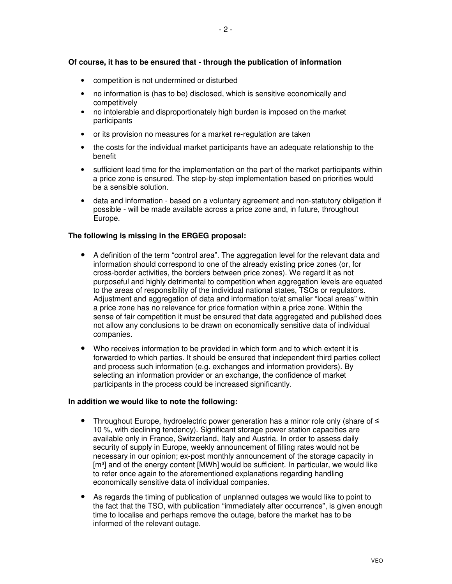## **Of course, it has to be ensured that - through the publication of information**

- competition is not undermined or disturbed
- no information is (has to be) disclosed, which is sensitive economically and competitively
- no intolerable and disproportionately high burden is imposed on the market participants
- or its provision no measures for a market re-regulation are taken
- the costs for the individual market participants have an adequate relationship to the benefit
- sufficient lead time for the implementation on the part of the market participants within a price zone is ensured. The step-by-step implementation based on priorities would be a sensible solution.
- data and information based on a voluntary agreement and non-statutory obligation if possible - will be made available across a price zone and, in future, throughout Europe.

### **The following is missing in the ERGEG proposal:**

- A definition of the term "control area". The aggregation level for the relevant data and information should correspond to one of the already existing price zones (or, for cross-border activities, the borders between price zones). We regard it as not purposeful and highly detrimental to competition when aggregation levels are equated to the areas of responsibility of the individual national states, TSOs or regulators. Adjustment and aggregation of data and information to/at smaller "local areas" within a price zone has no relevance for price formation within a price zone. Within the sense of fair competition it must be ensured that data aggregated and published does not allow any conclusions to be drawn on economically sensitive data of individual companies.
- Who receives information to be provided in which form and to which extent it is forwarded to which parties. It should be ensured that independent third parties collect and process such information (e.g. exchanges and information providers). By selecting an information provider or an exchange, the confidence of market participants in the process could be increased significantly.

### **In addition we would like to note the following:**

- Throughout Europe, hydroelectric power generation has a minor role only (share of ≤ 10 %, with declining tendency). Significant storage power station capacities are available only in France, Switzerland, Italy and Austria. In order to assess daily security of supply in Europe, weekly announcement of filling rates would not be necessary in our opinion; ex-post monthly announcement of the storage capacity in [m<sup>3</sup>] and of the energy content [MWh] would be sufficient. In particular, we would like to refer once again to the aforementioned explanations regarding handling economically sensitive data of individual companies.
- As regards the timing of publication of unplanned outages we would like to point to the fact that the TSO, with publication "immediately after occurrence", is given enough time to localise and perhaps remove the outage, before the market has to be informed of the relevant outage.